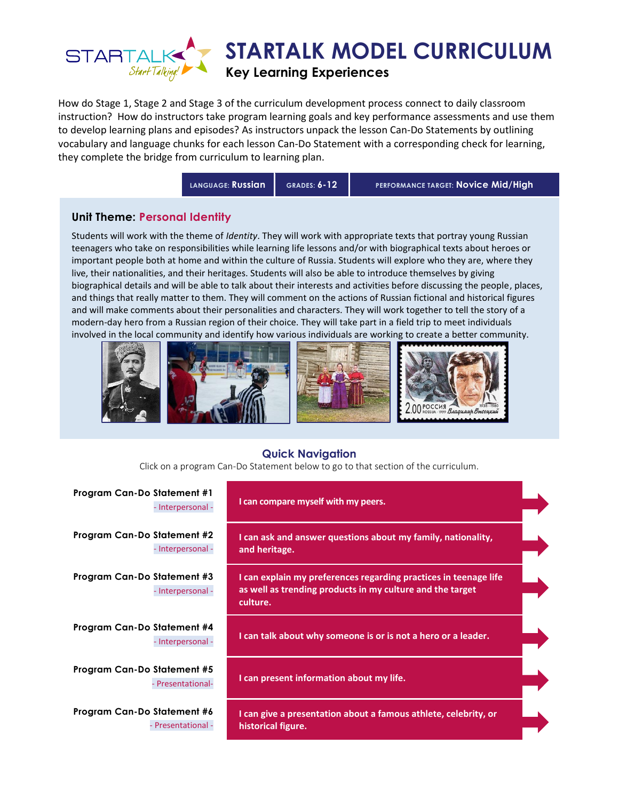

How do Stage 1, Stage 2 and Stage 3 of the curriculum development process connect to daily classroom instruction? How do instructors take program learning goals and key performance assessments and use them to develop learning plans and episodes? As instructors unpack the lesson Can-Do Statements by outlining vocabulary and language chunks for each lesson Can-Do Statement with a corresponding check for learning, they complete the bridge from curriculum to learning plan.

**LANGUAGE: Russian GRADES: 6-12 PERFORMANCE TARGET: Novice Mid/High**

## **Unit Theme: Personal Identity**

Students will work with the theme of *Identity*. They will work with appropriate texts that portray young Russian teenagers who take on responsibilities while learning life lessons and/or with biographical texts about heroes or important people both at home and within the culture of Russia. Students will explore who they are, where they live, their nationalities, and their heritages. Students will also be able to introduce themselves by giving biographical details and will be able to talk about their interests and activities before discussing the people, places, and things that really matter to them. They will comment on the actions of Russian fictional and historical figures and will make comments about their personalities and characters. They will work together to tell the story of a modern-day hero from a Russian region of their choice. They will take part in a field trip to meet individuals involved in the local community and identify how various individuals are working to create a better community.



## **Quick Navigation**

Click on a program Can-Do Statement below to go to that section of the curriculum.

| Program Can-Do Statement #1<br>- Interpersonal -  | I can compare myself with my peers.                                                                                                       |  |
|---------------------------------------------------|-------------------------------------------------------------------------------------------------------------------------------------------|--|
| Program Can-Do Statement #2<br>- Interpersonal -  | I can ask and answer questions about my family, nationality,<br>and heritage.                                                             |  |
| Program Can-Do Statement #3<br>- Interpersonal -  | I can explain my preferences regarding practices in teenage life<br>as well as trending products in my culture and the target<br>culture. |  |
| Program Can-Do Statement #4<br>- Interpersonal -  | I can talk about why someone is or is not a hero or a leader.                                                                             |  |
| Program Can-Do Statement #5<br>- Presentational-  | I can present information about my life.                                                                                                  |  |
| Program Can-Do Statement #6<br>- Presentational - | I can give a presentation about a famous athlete, celebrity, or<br>historical figure.                                                     |  |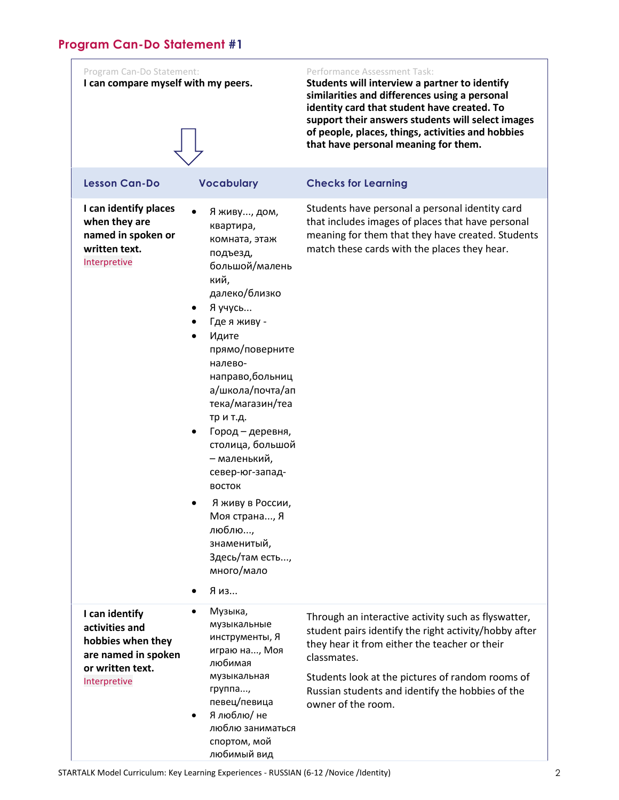<span id="page-1-0"></span>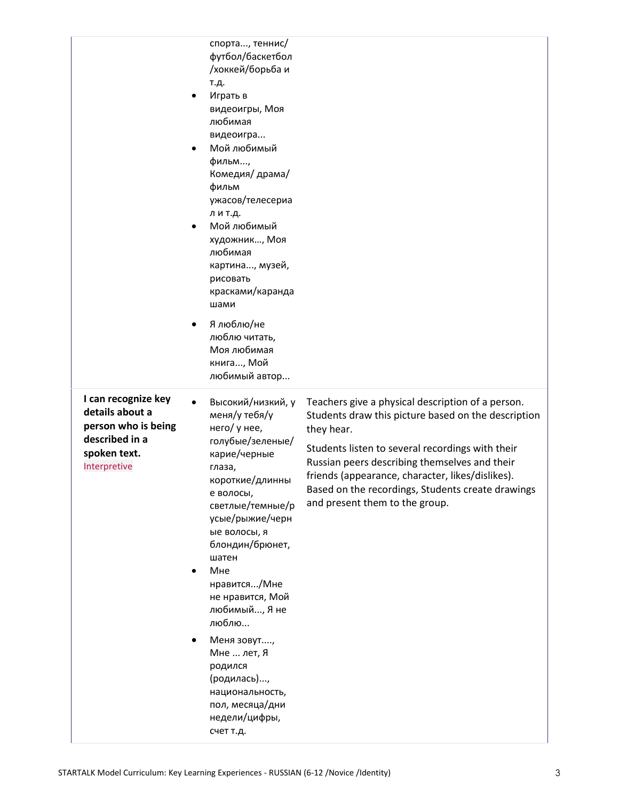|                                                                                                                 | спорта, теннис/<br>футбол/баскетбол<br>/хоккей/борьба и<br>т.д.<br>Играть в<br>видеоигры, Моя<br>любимая<br>видеоигра<br>Мой любимый<br>$\bullet$<br>фильм,<br>Комедия/ драма/<br>фильм<br>ужасов/телесериа<br>л и т.д.<br>Мой любимый<br>$\bullet$<br>художник, Моя<br>любимая<br>картина, музей,<br>рисовать<br>красками/каранда<br>шами<br>Я люблю/не<br>$\bullet$<br>люблю читать,<br>Моя любимая<br>книга, Мой<br>любимый автор |                                                                                                                                                                                                                                                                                                                                                                        |
|-----------------------------------------------------------------------------------------------------------------|--------------------------------------------------------------------------------------------------------------------------------------------------------------------------------------------------------------------------------------------------------------------------------------------------------------------------------------------------------------------------------------------------------------------------------------|------------------------------------------------------------------------------------------------------------------------------------------------------------------------------------------------------------------------------------------------------------------------------------------------------------------------------------------------------------------------|
| I can recognize key<br>details about a<br>person who is being<br>described in a<br>spoken text.<br>Interpretive | Высокий/низкий, у<br>меня/у тебя/у<br>него/ у нее,<br>голубые/зеленые/<br>карие/черные<br>глаза,<br>короткие/длинны<br>е волосы,<br>светлые/темные/р<br>усые/рыжие/черн<br>ые волосы, я<br>блондин/брюнет,<br>шатен<br>Мне<br>$\bullet$<br>нравится/Мне<br>не нравится, Мой<br>любимый, Я не<br>люблю<br>Меня зовут,<br>Мне  лет, Я<br>родился<br>(родилась),<br>национальность,<br>пол, месяца/дни<br>недели/цифры,<br>счет т.д.    | Teachers give a physical description of a person.<br>Students draw this picture based on the description<br>they hear.<br>Students listen to several recordings with their<br>Russian peers describing themselves and their<br>friends (appearance, character, likes/dislikes).<br>Based on the recordings, Students create drawings<br>and present them to the group. |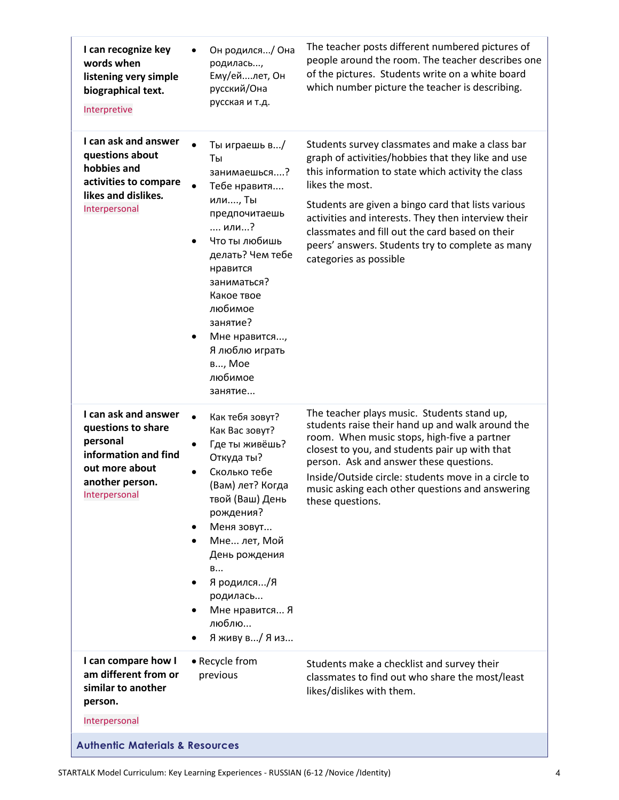| I can recognize key<br>words when<br>listening very simple<br>biographical text.<br>Interpretive                                     | Он родился/ Она<br>родилась,<br>Ему/ейлет, Он<br>русский/Она<br>русская и т.д.                                                                                                                                                                                                          | The teacher posts different numbered pictures of<br>people around the room. The teacher describes one<br>of the pictures. Students write on a white board<br>which number picture the teacher is describing.                                                                                                                                                                                                                 |
|--------------------------------------------------------------------------------------------------------------------------------------|-----------------------------------------------------------------------------------------------------------------------------------------------------------------------------------------------------------------------------------------------------------------------------------------|------------------------------------------------------------------------------------------------------------------------------------------------------------------------------------------------------------------------------------------------------------------------------------------------------------------------------------------------------------------------------------------------------------------------------|
| I can ask and answer<br>questions about<br>hobbies and<br>activities to compare<br>likes and dislikes.<br>Interpersonal              | Ты играешь в/<br>Ты<br>занимаешься?<br>Тебе нравитя<br>или, Ты<br>предпочитаешь<br>или?<br>Что ты любишь<br>$\bullet$<br>делать? Чем тебе<br>нравится<br>заниматься?<br>Какое твое<br>любимое<br>занятие?<br>Мне нравится,<br>٠<br>Я люблю играть<br>в, Мое<br>любимое<br>занятие       | Students survey classmates and make a class bar<br>graph of activities/hobbies that they like and use<br>this information to state which activity the class<br>likes the most.<br>Students are given a bingo card that lists various<br>activities and interests. They then interview their<br>classmates and fill out the card based on their<br>peers' answers. Students try to complete as many<br>categories as possible |
| I can ask and answer<br>questions to share<br>personal<br>information and find<br>out more about<br>another person.<br>Interpersonal | Как тебя зовут?<br>Как Вас зовут?<br>Где ты живёшь?<br>$\bullet$<br>Откуда ты?<br>Сколько тебе<br>(Вам) лет? Когда<br>твой (Ваш) День<br>рождения?<br>Меня зовут<br>٠<br>Мне лет, Мой<br>٠<br>День рождения<br>B<br>Я родился/Я<br>родилась<br>Мне нравится Я<br>люблю<br>Яживу в/ Я из | The teacher plays music. Students stand up,<br>students raise their hand up and walk around the<br>room. When music stops, high-five a partner<br>closest to you, and students pair up with that<br>person. Ask and answer these questions.<br>Inside/Outside circle: students move in a circle to<br>music asking each other questions and answering<br>these questions.                                                    |
| I can compare how I<br>am different from or<br>similar to another<br>person.<br>Interpersonal                                        | • Recycle from<br>previous                                                                                                                                                                                                                                                              | Students make a checklist and survey their<br>classmates to find out who share the most/least<br>likes/dislikes with them.                                                                                                                                                                                                                                                                                                   |
| <b>Authentic Materials &amp; Resources</b>                                                                                           |                                                                                                                                                                                                                                                                                         |                                                                                                                                                                                                                                                                                                                                                                                                                              |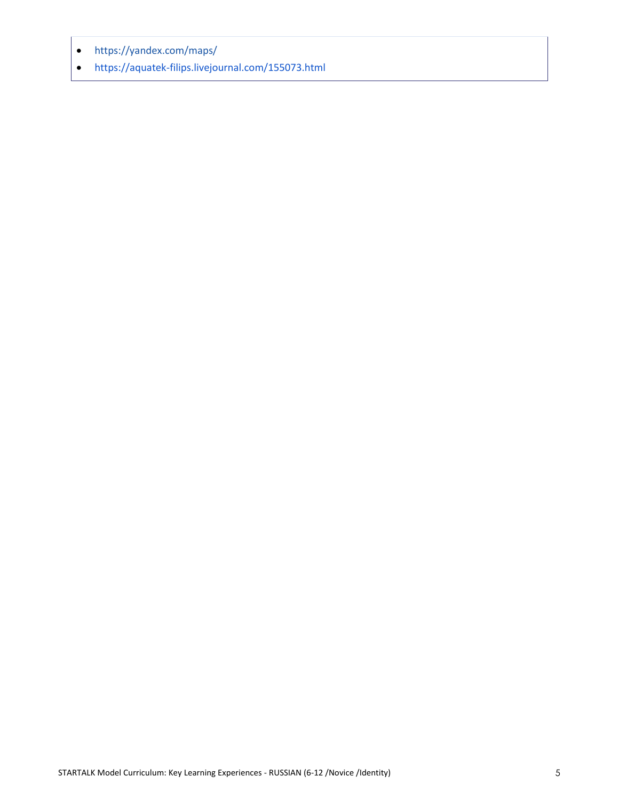- <https://yandex.com/maps/>
- <https://aquatek-filips.livejournal.com/155073.html>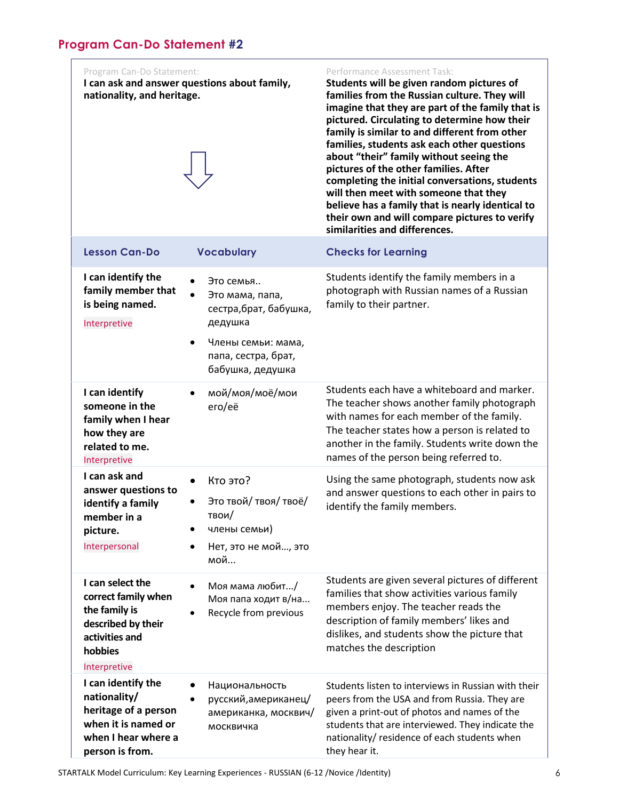<span id="page-5-0"></span>

| Program Can-Do Statement:<br>I can ask and answer questions about family,<br>nationality, and heritage.                     |                                                                                                                | Performance Assessment Task:<br>Students will be given random pictures of<br>families from the Russian culture. They will<br>imagine that they are part of the family that is<br>pictured. Circulating to determine how their<br>family is similar to and different from other<br>families, students ask each other questions<br>about "their" family without seeing the<br>pictures of the other families. After<br>completing the initial conversations, students<br>will then meet with someone that they<br>believe has a family that is nearly identical to<br>their own and will compare pictures to verify<br>similarities and differences. |
|-----------------------------------------------------------------------------------------------------------------------------|----------------------------------------------------------------------------------------------------------------|----------------------------------------------------------------------------------------------------------------------------------------------------------------------------------------------------------------------------------------------------------------------------------------------------------------------------------------------------------------------------------------------------------------------------------------------------------------------------------------------------------------------------------------------------------------------------------------------------------------------------------------------------|
| <b>Lesson Can-Do</b>                                                                                                        | <b>Vocabulary</b>                                                                                              | <b>Checks for Learning</b>                                                                                                                                                                                                                                                                                                                                                                                                                                                                                                                                                                                                                         |
| I can identify the<br>family member that<br>is being named.<br>Interpretive                                                 | Это семья<br>Это мама, папа,<br>сестра, брат, бабушка,<br>дедушка<br>Члены семьи: мама,<br>папа, сестра, брат, | Students identify the family members in a<br>photograph with Russian names of a Russian<br>family to their partner.                                                                                                                                                                                                                                                                                                                                                                                                                                                                                                                                |
|                                                                                                                             | бабушка, дедушка                                                                                               |                                                                                                                                                                                                                                                                                                                                                                                                                                                                                                                                                                                                                                                    |
| I can identify<br>someone in the<br>family when I hear<br>how they are<br>related to me.<br>Interpretive                    | мой/моя/моё/мои<br>ero/eë                                                                                      | Students each have a whiteboard and marker.<br>The teacher shows another family photograph<br>with names for each member of the family.<br>The teacher states how a person is related to<br>another in the family. Students write down the<br>names of the person being referred to.                                                                                                                                                                                                                                                                                                                                                               |
| I can ask and<br>answer questions to<br>identify a family<br>member in a<br>picture.<br>Interpersonal                       | Кто это?<br>Это твой/ твоя/ твоё/<br>твои/<br>члены семьи)<br>Нет, это не мой, это<br>мой                      | Using the same photograph, students now ask<br>and answer questions to each other in pairs to<br>identify the family members.                                                                                                                                                                                                                                                                                                                                                                                                                                                                                                                      |
| I can select the<br>correct family when<br>the family is<br>described by their<br>activities and<br>hobbies<br>Interpretive | Моя мама любит/<br>Моя папа ходит в/на<br>Recycle from previous                                                | Students are given several pictures of different<br>families that show activities various family<br>members enjoy. The teacher reads the<br>description of family members' likes and<br>dislikes, and students show the picture that<br>matches the description                                                                                                                                                                                                                                                                                                                                                                                    |
| I can identify the<br>nationality/<br>heritage of a person<br>when it is named or<br>when I hear where a<br>person is from. | Национальность<br>русский, американец/<br>американка, москвич/<br>москвичка                                    | Students listen to interviews in Russian with their<br>peers from the USA and from Russia. They are<br>given a print-out of photos and names of the<br>students that are interviewed. They indicate the<br>nationality/ residence of each students when<br>they hear it.                                                                                                                                                                                                                                                                                                                                                                           |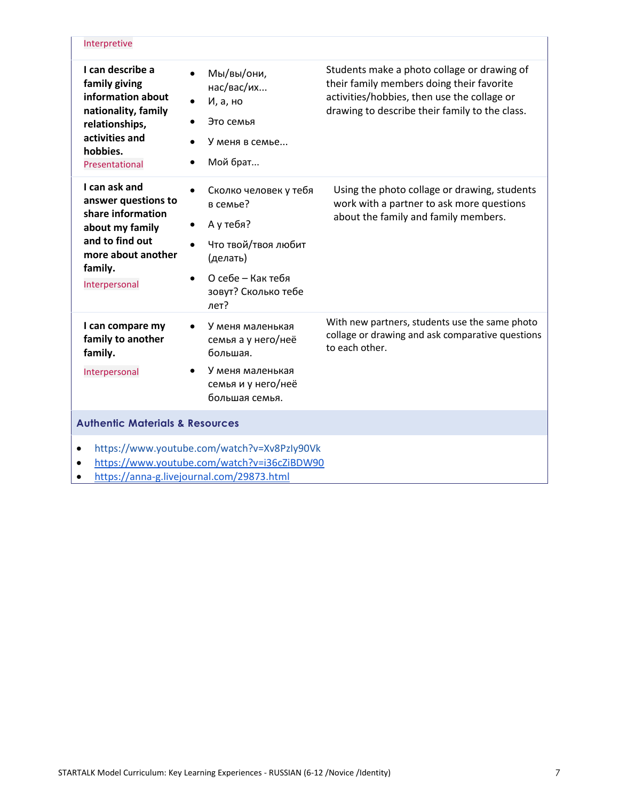| Interpretive                                                                                                                                                      |                                                                                                                                                                                           |                                                                                                                                                                                           |
|-------------------------------------------------------------------------------------------------------------------------------------------------------------------|-------------------------------------------------------------------------------------------------------------------------------------------------------------------------------------------|-------------------------------------------------------------------------------------------------------------------------------------------------------------------------------------------|
| I can describe a<br>family giving<br>information about<br>nationality, family<br>relationships,<br>activities and<br>hobbies.<br>Presentational                   | Мы/вы/они,<br>$\bullet$<br>нас/вас/их<br>И, а, но<br>$\bullet$<br>Это семья<br>У меня в семье<br>Мой брат<br>$\bullet$                                                                    | Students make a photo collage or drawing of<br>their family members doing their favorite<br>activities/hobbies, then use the collage or<br>drawing to describe their family to the class. |
| I can ask and<br>answer questions to<br>share information<br>about my family<br>and to find out<br>more about another<br>family.<br>Interpersonal                 | Сколко человек у тебя<br>$\bullet$<br>в семье?<br>А у тебя?<br>$\bullet$<br>Что твой/твоя любит<br>$\bullet$<br>(делать)<br>О себе – Как тебя<br>$\bullet$<br>зовут? Сколько тебе<br>лет? | Using the photo collage or drawing, students<br>work with a partner to ask more questions<br>about the family and family members.                                                         |
| I can compare my<br>family to another<br>family.<br>Interpersonal                                                                                                 | У меня маленькая<br>$\bullet$<br>семья а у него/неё<br>большая.<br>У меня маленькая<br>семья и у него/неё<br>большая семья.                                                               | With new partners, students use the same photo<br>collage or drawing and ask comparative questions<br>to each other.                                                                      |
| <b>Authentic Materials &amp; Resources</b>                                                                                                                        |                                                                                                                                                                                           |                                                                                                                                                                                           |
| https://www.youtube.com/watch?v=Xv8PzIy90Vk<br>$\bullet$<br>https://www.youtube.com/watch?v=i36cZiBDW90<br>$\bullet$<br>https://anna-g.livejournal.com/29873.html |                                                                                                                                                                                           |                                                                                                                                                                                           |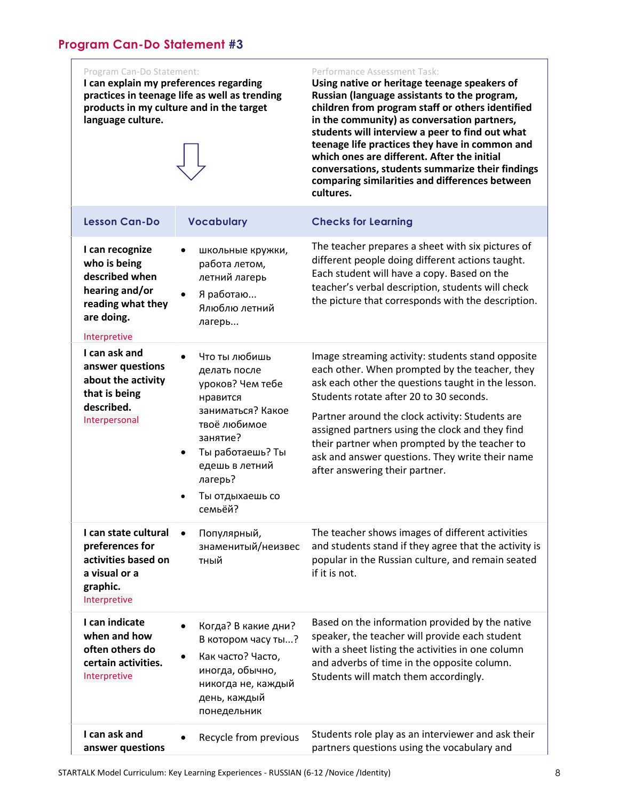<span id="page-7-0"></span>**I can explain my preferences regarding practices in teenage life as well as trending products in my culture and in the target language culture.** 

### Performance Assessment Task:

**Using native or heritage teenage speakers of Russian (language assistants to the program, children from program staff or others identified in the community) as conversation partners, students will interview a peer to find out what teenage life practices they have in common and which ones are different. After the initial conversations, students summarize their findings comparing similarities and differences between cultures.**

| <b>Lesson Can-Do</b>                                                                                                   | <b>Vocabulary</b>                                                                                                                                                                                                                    | <b>Checks for Learning</b>                                                                                                                                                                                                                                                                                                                                                                                                                       |
|------------------------------------------------------------------------------------------------------------------------|--------------------------------------------------------------------------------------------------------------------------------------------------------------------------------------------------------------------------------------|--------------------------------------------------------------------------------------------------------------------------------------------------------------------------------------------------------------------------------------------------------------------------------------------------------------------------------------------------------------------------------------------------------------------------------------------------|
| I can recognize<br>who is being<br>described when<br>hearing and/or<br>reading what they<br>are doing.<br>Interpretive | школьные кружки,<br>$\bullet$<br>работа летом,<br>летний лагерь<br>Я работаю<br>$\bullet$<br>Ялюблю летний<br>лагерь                                                                                                                 | The teacher prepares a sheet with six pictures of<br>different people doing different actions taught.<br>Each student will have a copy. Based on the<br>teacher's verbal description, students will check<br>the picture that corresponds with the description.                                                                                                                                                                                  |
| I can ask and<br>answer questions<br>about the activity<br>that is being<br>described.<br>Interpersonal                | Что ты любишь<br>$\bullet$<br>делать после<br>уроков? Чем тебе<br>нравится<br>заниматься? Какое<br>твоё любимое<br>занятие?<br>Ты работаешь? Ты<br>$\bullet$<br>едешь в летний<br>лагерь?<br>Ты отдыхаешь со<br>$\bullet$<br>семьёй? | Image streaming activity: students stand opposite<br>each other. When prompted by the teacher, they<br>ask each other the questions taught in the lesson.<br>Students rotate after 20 to 30 seconds.<br>Partner around the clock activity: Students are<br>assigned partners using the clock and they find<br>their partner when prompted by the teacher to<br>ask and answer questions. They write their name<br>after answering their partner. |
| I can state cultural<br>preferences for<br>activities based on<br>a visual or a<br>graphic.<br>Interpretive            | Популярный,<br>знаменитый/неизвес<br>тный                                                                                                                                                                                            | The teacher shows images of different activities<br>and students stand if they agree that the activity is<br>popular in the Russian culture, and remain seated<br>if it is not.                                                                                                                                                                                                                                                                  |
| I can indicate<br>when and how<br>often others do<br>certain activities.<br>Interpretive                               | Когда? В какие дни?<br>В котором часу ты?<br>Как часто? Часто,<br>иногда, обычно,<br>никогда не, каждый<br>день, каждый<br>понедельник                                                                                               | Based on the information provided by the native<br>speaker, the teacher will provide each student<br>with a sheet listing the activities in one column<br>and adverbs of time in the opposite column.<br>Students will match them accordingly.                                                                                                                                                                                                   |
| I can ask and<br>answer questions                                                                                      | Recycle from previous                                                                                                                                                                                                                | Students role play as an interviewer and ask their<br>partners questions using the vocabulary and                                                                                                                                                                                                                                                                                                                                                |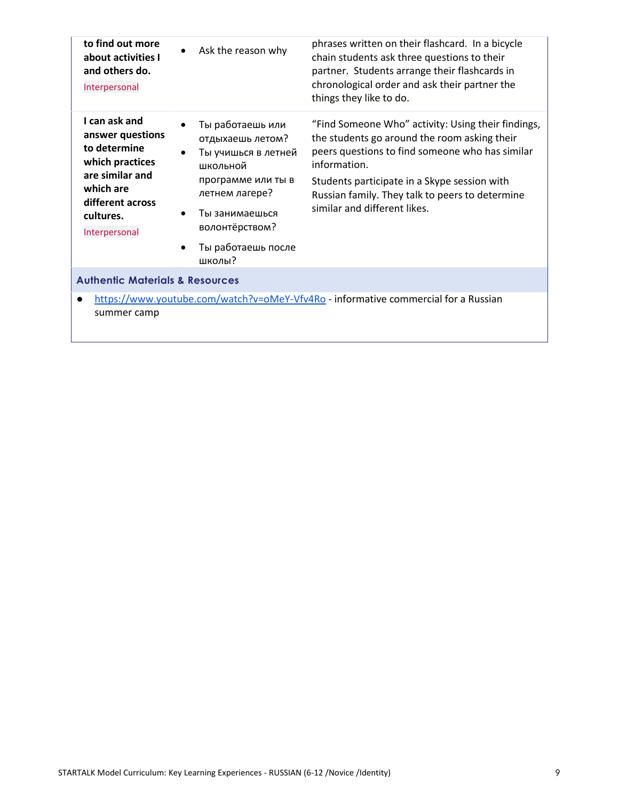| to find out more<br>about activities I<br>and others do.<br>Interpersonal                                                                              | Ask the reason why                                                                                                                                                                                                                      | phrases written on their flashcard. In a bicycle<br>chain students ask three questions to their<br>partner. Students arrange their flashcards in<br>chronological order and ask their partner the<br>things they like to do.                                                                             |
|--------------------------------------------------------------------------------------------------------------------------------------------------------|-----------------------------------------------------------------------------------------------------------------------------------------------------------------------------------------------------------------------------------------|----------------------------------------------------------------------------------------------------------------------------------------------------------------------------------------------------------------------------------------------------------------------------------------------------------|
| I can ask and<br>answer questions<br>to determine<br>which practices<br>are similar and<br>which are<br>different across<br>cultures.<br>Interpersonal | Ты работаешь или<br>$\bullet$<br>отдыхаешь летом?<br>Ты учишься в летней<br>$\bullet$<br>школьной<br>программе или ты в<br>летнем лагере?<br>Ты занимаешься<br>$\bullet$<br>волонтёрством?<br>Ты работаешь после<br>$\bullet$<br>школы? | "Find Someone Who" activity: Using their findings,<br>the students go around the room asking their<br>peers questions to find someone who has similar<br>information.<br>Students participate in a Skype session with<br>Russian family. They talk to peers to determine<br>similar and different likes. |
| <b>Authentic Materials &amp; Resources</b>                                                                                                             |                                                                                                                                                                                                                                         |                                                                                                                                                                                                                                                                                                          |
| https://www.youtube.com/watch?v=oMeY-Vfv4Ro - informative commercial for a Russian<br>$\bullet$<br>summer camp                                         |                                                                                                                                                                                                                                         |                                                                                                                                                                                                                                                                                                          |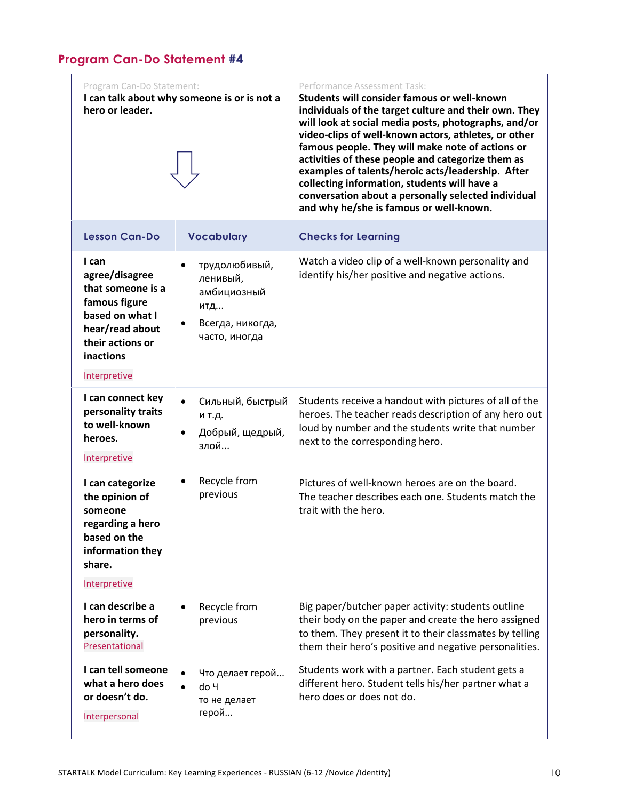<span id="page-9-0"></span>Program Can-Do Statement: **I can talk about why someone is or is not a hero or leader.** Performance Assessment Task: **Students will consider famous or well-known individuals of the target culture and their own. They will look at social media posts, photographs, and/or video-clips of well-known actors, athletes, or other famous people. They will make note of actions or activities of these people and categorize them as examples of talents/heroic acts/leadership. After collecting information, students will have a conversation about a personally selected individual and why he/she is famous or well-known. Lesson Can-Do Vocabulary Checks for Learning I can agree/disagree that someone is a famous figure based on what I hear/read about their actions or inactions** Interpretive трудолюбивый, ленивый, амбициозный итд... Всегда, никогда, часто, иногда Watch a video clip of a well-known personality and identify his/her positive and negative actions. **I can connect key personality traits to well-known heroes.** Interpretive Сильный, быстрый и т.д. Добрый, щедрый, злой... Students receive a handout with pictures of all of the heroes. The teacher reads description of any hero out loud by number and the students write that number next to the corresponding hero. **I can categorize the opinion of someone regarding a hero based on the information they share.** Interpretive Recycle from previous Pictures of well-known heroes are on the board. The teacher describes each one. Students match the trait with the hero. **I can describe a hero in terms of personality.** Presentational Recycle from previous Big paper/butcher paper activity: students outline their body on the paper and create the hero assigned to them. They present it to their classmates by telling them their hero's positive and negative personalities. **I can tell someone what a hero does or doesn't do.** Interpersonal Что делает герой... do Ч то не делает герой... Students work with a partner. Each student gets a different hero. Student tells his/her partner what a hero does or does not do.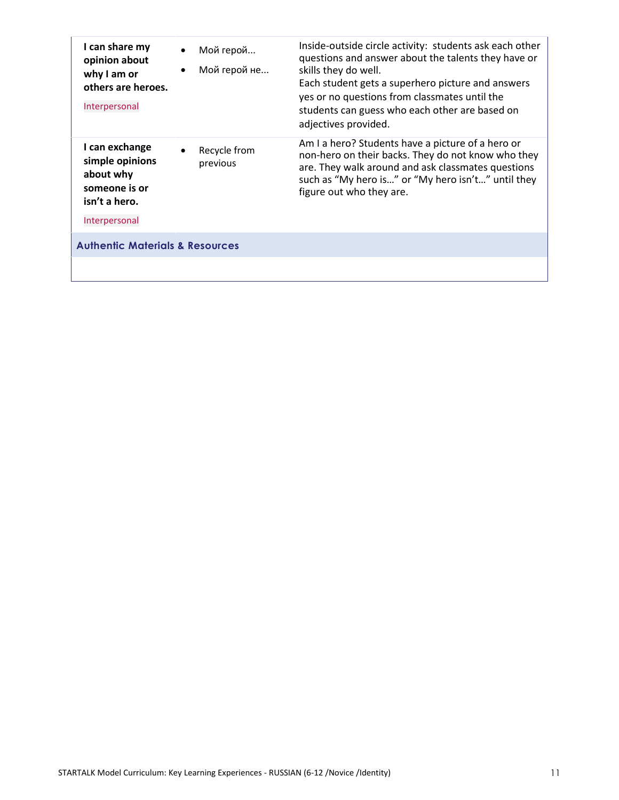| I can share my<br>opinion about<br>why I am or<br>others are heroes.<br>Interpersonal             | Мой герой<br>Мой герой не             | Inside-outside circle activity: students ask each other<br>questions and answer about the talents they have or<br>skills they do well.<br>Each student gets a superhero picture and answers<br>yes or no questions from classmates until the<br>students can guess who each other are based on<br>adjectives provided. |
|---------------------------------------------------------------------------------------------------|---------------------------------------|------------------------------------------------------------------------------------------------------------------------------------------------------------------------------------------------------------------------------------------------------------------------------------------------------------------------|
| I can exchange<br>simple opinions<br>about why<br>someone is or<br>isn't a hero.<br>Interpersonal | Recycle from<br>$\bullet$<br>previous | Am I a hero? Students have a picture of a hero or<br>non-hero on their backs. They do not know who they<br>are. They walk around and ask classmates questions<br>such as "My hero is" or "My hero isn't" until they<br>figure out who they are.                                                                        |
| <b>Authentic Materials &amp; Resources</b>                                                        |                                       |                                                                                                                                                                                                                                                                                                                        |
|                                                                                                   |                                       |                                                                                                                                                                                                                                                                                                                        |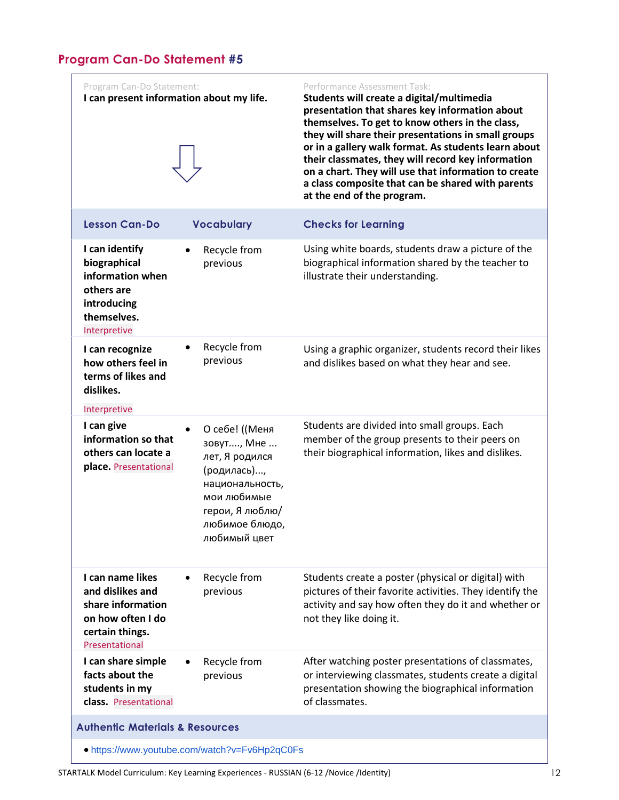<span id="page-11-0"></span>

| Program Can-Do Statement:<br>I can present information about my life.                                               |                                                                                                                                                                   | Performance Assessment Task:<br>Students will create a digital/multimedia<br>presentation that shares key information about<br>themselves. To get to know others in the class,<br>they will share their presentations in small groups<br>or in a gallery walk format. As students learn about<br>their classmates, they will record key information<br>on a chart. They will use that information to create<br>a class composite that can be shared with parents<br>at the end of the program. |
|---------------------------------------------------------------------------------------------------------------------|-------------------------------------------------------------------------------------------------------------------------------------------------------------------|------------------------------------------------------------------------------------------------------------------------------------------------------------------------------------------------------------------------------------------------------------------------------------------------------------------------------------------------------------------------------------------------------------------------------------------------------------------------------------------------|
| <b>Lesson Can-Do</b>                                                                                                | <b>Vocabulary</b>                                                                                                                                                 | <b>Checks for Learning</b>                                                                                                                                                                                                                                                                                                                                                                                                                                                                     |
| I can identify<br>biographical<br>information when<br>others are<br>introducing<br>themselves.<br>Interpretive      | Recycle from<br>$\bullet$<br>previous                                                                                                                             | Using white boards, students draw a picture of the<br>biographical information shared by the teacher to<br>illustrate their understanding.                                                                                                                                                                                                                                                                                                                                                     |
| I can recognize<br>how others feel in<br>terms of likes and<br>dislikes.                                            | Recycle from<br>٠<br>previous                                                                                                                                     | Using a graphic organizer, students record their likes<br>and dislikes based on what they hear and see.                                                                                                                                                                                                                                                                                                                                                                                        |
| Interpretive<br>I can give                                                                                          |                                                                                                                                                                   |                                                                                                                                                                                                                                                                                                                                                                                                                                                                                                |
| information so that<br>others can locate a<br>place. Presentational                                                 | О себе! ((Меня<br>$\bullet$<br>зовут, Мне<br>лет, Я родился<br>(родилась),<br>национальность,<br>мои любимые<br>герои, Я люблю/<br>любимое блюдо,<br>любимый цвет | Students are divided into small groups. Each<br>member of the group presents to their peers on<br>their biographical information, likes and dislikes.                                                                                                                                                                                                                                                                                                                                          |
| I can name likes<br>and dislikes and<br>share information<br>on how often I do<br>certain things.<br>Presentational | Recycle from<br>previous                                                                                                                                          | Students create a poster (physical or digital) with<br>pictures of their favorite activities. They identify the<br>activity and say how often they do it and whether or<br>not they like doing it.                                                                                                                                                                                                                                                                                             |
| I can share simple<br>facts about the<br>students in my<br>class. Presentational                                    | Recycle from<br>previous                                                                                                                                          | After watching poster presentations of classmates,<br>or interviewing classmates, students create a digital<br>presentation showing the biographical information<br>of classmates.                                                                                                                                                                                                                                                                                                             |
| <b>Authentic Materials &amp; Resources</b><br>• https://www.youtube.com/watch?v=Fv6Hp2qC0Fs                         |                                                                                                                                                                   |                                                                                                                                                                                                                                                                                                                                                                                                                                                                                                |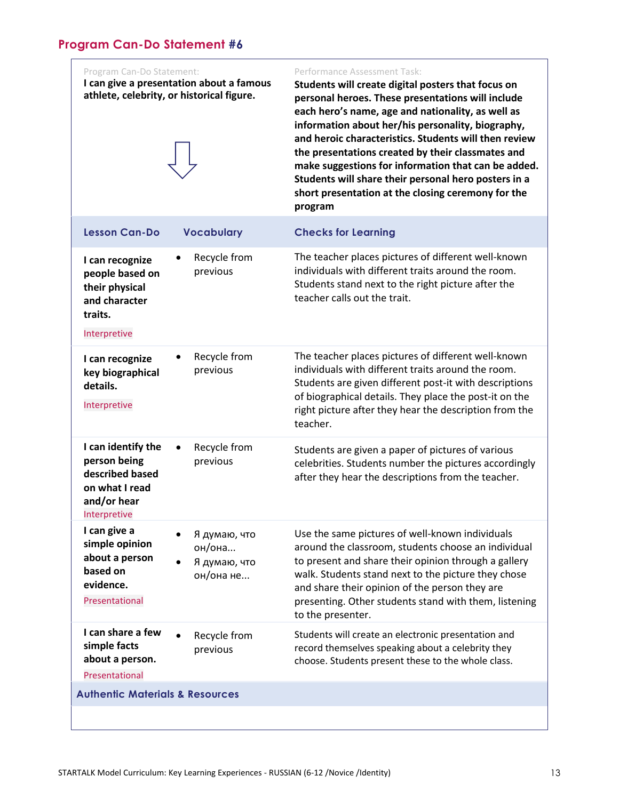<span id="page-12-0"></span>

| Program Can-Do Statement:                                                                              | I can give a presentation about a famous<br>athlete, celebrity, or historical figure. | Performance Assessment Task:<br>Students will create digital posters that focus on<br>personal heroes. These presentations will include<br>each hero's name, age and nationality, as well as<br>information about her/his personality, biography,<br>and heroic characteristics. Students will then review<br>the presentations created by their classmates and<br>make suggestions for information that can be added.<br>Students will share their personal hero posters in a<br>short presentation at the closing ceremony for the<br>program |
|--------------------------------------------------------------------------------------------------------|---------------------------------------------------------------------------------------|-------------------------------------------------------------------------------------------------------------------------------------------------------------------------------------------------------------------------------------------------------------------------------------------------------------------------------------------------------------------------------------------------------------------------------------------------------------------------------------------------------------------------------------------------|
| <b>Lesson Can-Do</b>                                                                                   | <b>Vocabulary</b>                                                                     | <b>Checks for Learning</b>                                                                                                                                                                                                                                                                                                                                                                                                                                                                                                                      |
| I can recognize<br>people based on<br>their physical<br>and character<br>traits.<br>Interpretive       | Recycle from<br>previous                                                              | The teacher places pictures of different well-known<br>individuals with different traits around the room.<br>Students stand next to the right picture after the<br>teacher calls out the trait.                                                                                                                                                                                                                                                                                                                                                 |
| I can recognize<br>key biographical<br>details.<br>Interpretive                                        | Recycle from<br>previous                                                              | The teacher places pictures of different well-known<br>individuals with different traits around the room.<br>Students are given different post-it with descriptions<br>of biographical details. They place the post-it on the<br>right picture after they hear the description from the<br>teacher.                                                                                                                                                                                                                                             |
| I can identify the<br>person being<br>described based<br>on what I read<br>and/or hear<br>Interpretive | Recycle from<br>previous                                                              | Students are given a paper of pictures of various<br>celebrities. Students number the pictures accordingly<br>after they hear the descriptions from the teacher.                                                                                                                                                                                                                                                                                                                                                                                |
| I can give a<br>simple opinion<br>about a person<br>based on<br>evidence.<br>Presentational            | Я думаю, что<br>он/она<br>Я думаю, что<br>он/она не                                   | Use the same pictures of well-known individuals<br>around the classroom, students choose an individual<br>to present and share their opinion through a gallery<br>walk. Students stand next to the picture they chose<br>and share their opinion of the person they are<br>presenting. Other students stand with them, listening<br>to the presenter.                                                                                                                                                                                           |
| I can share a few<br>simple facts<br>about a person.<br>Presentational                                 | Recycle from<br>previous                                                              | Students will create an electronic presentation and<br>record themselves speaking about a celebrity they<br>choose. Students present these to the whole class.                                                                                                                                                                                                                                                                                                                                                                                  |
| <b>Authentic Materials &amp; Resources</b>                                                             |                                                                                       |                                                                                                                                                                                                                                                                                                                                                                                                                                                                                                                                                 |
|                                                                                                        |                                                                                       |                                                                                                                                                                                                                                                                                                                                                                                                                                                                                                                                                 |